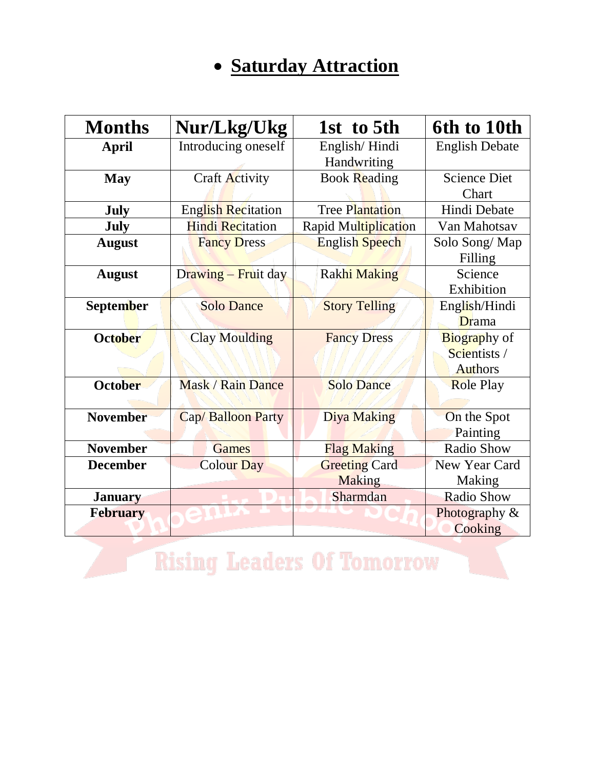### **Saturday Attraction**

| Nur/Lkg/Ukg<br><b>Months</b> |                           | 1st to 5th            | 6th to 10th           |
|------------------------------|---------------------------|-----------------------|-----------------------|
| <b>April</b>                 | Introducing oneself       | English/Hindi         | <b>English Debate</b> |
|                              |                           | Handwriting           |                       |
| <b>May</b>                   | Craft Activity            | <b>Book Reading</b>   | <b>Science Diet</b>   |
|                              |                           |                       | Chart                 |
| <b>July</b>                  | <b>English Recitation</b> | Tree Plantation       | Hindi Debate          |
| <b>July</b>                  | <b>Hindi Recitation</b>   | Rapid Multiplication  | Van Mahotsav          |
| <b>August</b>                | <b>Fancy Dress</b>        | <b>English Speech</b> | Solo Song/Map         |
|                              |                           |                       | Filling               |
| <b>August</b>                | Drawing - Fruit day       | <b>Rakhi Making</b>   | Science               |
|                              |                           |                       | Exhibition            |
| <b>September</b>             | <b>Solo Dance</b>         | <b>Story Telling</b>  | English/Hindi         |
|                              |                           |                       | Drama                 |
| <b>October</b>               | <b>Clay Moulding</b>      | <b>Fancy Dress</b>    | <b>Biography</b> of   |
|                              |                           |                       | Scientists /          |
|                              |                           |                       | <b>Authors</b>        |
| <b>October</b>               | <b>Mask / Rain Dance</b>  | <b>Solo Dance</b>     | <b>Role Play</b>      |
|                              |                           |                       |                       |
| <b>November</b>              | Cap/Balloon Party         | <b>Diya Making</b>    | On the Spot           |
|                              |                           |                       | Painting              |
| <b>November</b>              | <b>Games</b>              | <b>Flag Making</b>    | Radio Show            |
| <b>December</b>              | <b>Colour Day</b>         | <b>Greeting Card</b>  | New Year Card         |
|                              |                           | <b>Making</b>         | Making                |
| <b>January</b>               |                           | Sharmdan              | <b>Radio Show</b>     |
| <b>February</b>              |                           |                       | Photography &         |
|                              |                           |                       | Cooking               |

**Rising Leaders Of Tomorrow**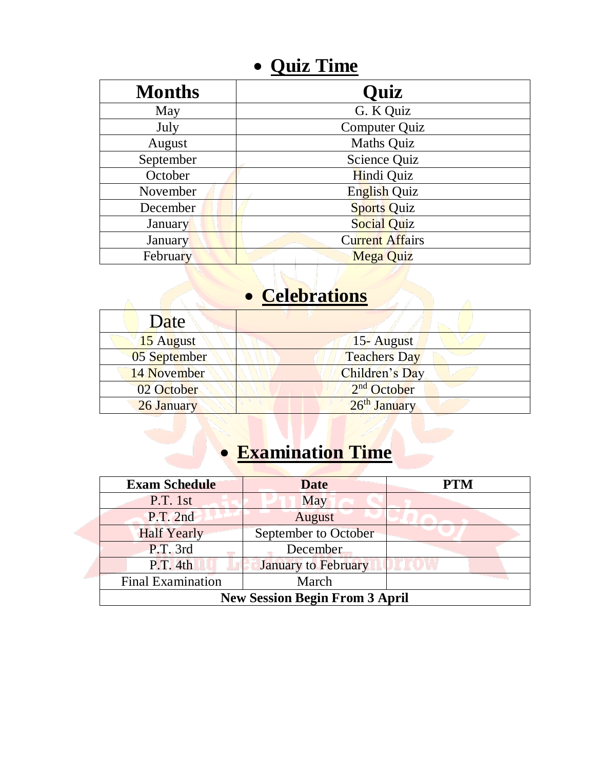#### **Quiz Time**

| <b>Months</b> | <b>Quiz</b>            |
|---------------|------------------------|
| May           | G. K Quiz              |
| July          | <b>Computer Quiz</b>   |
| August        | <b>Maths Quiz</b>      |
| September     | Science Quiz           |
| October       | Hindi Quiz             |
| November      | English Quiz           |
| December      | <b>Sports Quiz</b>     |
| January       | <b>Social Quiz</b>     |
| January       | <b>Current Affairs</b> |
| February      | <b>Mega Quiz</b>       |

## **c** Celebrations

| Date         |                         |
|--------------|-------------------------|
| 15 August    | 15- August              |
| 05 September | <b>Teachers Day</b>     |
| 14 November  | Children's Day          |
| 02 October   | 2 <sup>nd</sup> October |
| 26 January   | 26th January            |

## **Examination Time**

| <b>Exam Schedule</b>                  | <b>Date</b>                | <b>PTM</b> |
|---------------------------------------|----------------------------|------------|
| P.T. 1st                              | May                        |            |
| P.T. 2nd                              | August                     |            |
| <b>Half Yearly</b>                    | September to October       |            |
| P.T. 3rd                              | December                   |            |
| P.T. 4th                              | <b>January to February</b> |            |
| <b>Final Examination</b>              | March                      |            |
| <b>New Session Begin From 3 April</b> |                            |            |